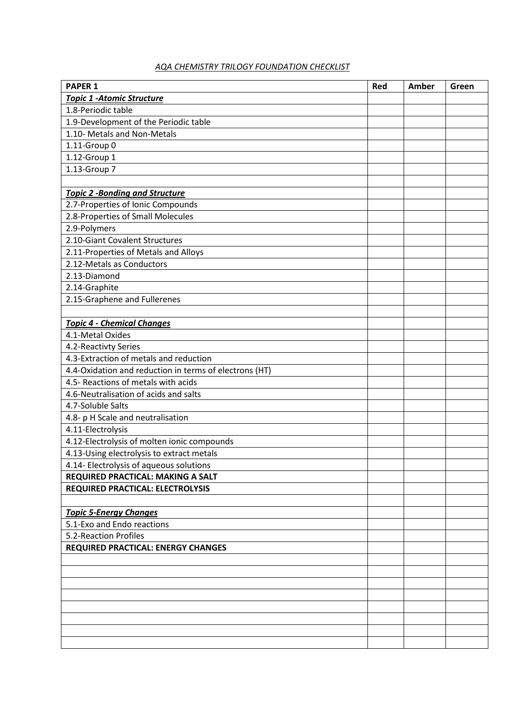## *AQA CHEMISTRY TRILOGY FOUNDATION CHECKLIST*

| <b>PAPER 1</b>                                         | Red | Amber | Green |
|--------------------------------------------------------|-----|-------|-------|
| <b>Topic 1 -Atomic Structure</b>                       |     |       |       |
| 1.8-Periodic table                                     |     |       |       |
| 1.9-Development of the Periodic table                  |     |       |       |
| 1.10- Metals and Non-Metals                            |     |       |       |
| 1.11-Group 0                                           |     |       |       |
| 1.12-Group 1                                           |     |       |       |
| 1.13-Group 7                                           |     |       |       |
|                                                        |     |       |       |
| <b>Topic 2 -Bonding and Structure</b>                  |     |       |       |
| 2.7-Properties of Ionic Compounds                      |     |       |       |
| 2.8-Properties of Small Molecules                      |     |       |       |
| 2.9-Polymers                                           |     |       |       |
| 2.10-Giant Covalent Structures                         |     |       |       |
| 2.11-Properties of Metals and Alloys                   |     |       |       |
| 2.12-Metals as Conductors                              |     |       |       |
| 2.13-Diamond                                           |     |       |       |
| 2.14-Graphite                                          |     |       |       |
| 2.15-Graphene and Fullerenes                           |     |       |       |
|                                                        |     |       |       |
| <b>Topic 4 - Chemical Changes</b>                      |     |       |       |
| 4.1-Metal Oxides                                       |     |       |       |
| 4.2-Reactivty Series                                   |     |       |       |
| 4.3-Extraction of metals and reduction                 |     |       |       |
| 4.4-Oxidation and reduction in terms of electrons (HT) |     |       |       |
| 4.5- Reactions of metals with acids                    |     |       |       |
| 4.6-Neutralisation of acids and salts                  |     |       |       |
| 4.7-Soluble Salts                                      |     |       |       |
| 4.8- p H Scale and neutralisation                      |     |       |       |
| 4.11-Electrolysis                                      |     |       |       |
| 4.12-Electrolysis of molten ionic compounds            |     |       |       |
| 4.13-Using electrolysis to extract metals              |     |       |       |
| 4.14- Electrolysis of aqueous solutions                |     |       |       |
| REQUIRED PRACTICAL: MAKING A SALT                      |     |       |       |
| <b>REQUIRED PRACTICAL: ELECTROLYSIS</b>                |     |       |       |
|                                                        |     |       |       |
| <b>Topic 5-Energy Changes</b>                          |     |       |       |
| 5.1-Exo and Endo reactions                             |     |       |       |
| 5.2-Reaction Profiles                                  |     |       |       |
| <b>REQUIRED PRACTICAL: ENERGY CHANGES</b>              |     |       |       |
|                                                        |     |       |       |
|                                                        |     |       |       |
|                                                        |     |       |       |
|                                                        |     |       |       |
|                                                        |     |       |       |
|                                                        |     |       |       |
|                                                        |     |       |       |
|                                                        |     |       |       |